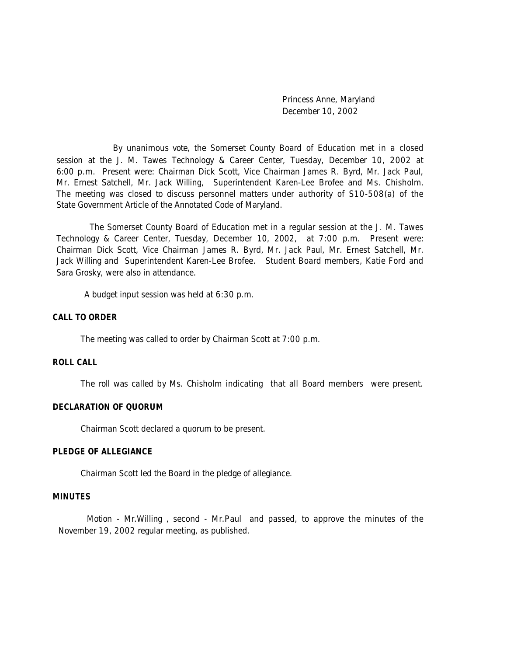Princess Anne, Maryland December 10, 2002

By unanimous vote, the Somerset County Board of Education met in a closed session at the J. M. Tawes Technology & Career Center, Tuesday, December 10, 2002 at 6:00 p.m. Present were: Chairman Dick Scott, Vice Chairman James R. Byrd, Mr. Jack Paul, Mr. Ernest Satchell, Mr. Jack Willing, Superintendent Karen-Lee Brofee and Ms. Chisholm. The meeting was closed to discuss personnel matters under authority of S10-508(a) of the State Government Article of the Annotated Code of Maryland.

 The Somerset County Board of Education met in a regular session at the J. M. Tawes Technology & Career Center, Tuesday, December 10, 2002, at 7:00 p.m. Present were: Chairman Dick Scott, Vice Chairman James R. Byrd, Mr. Jack Paul, Mr. Ernest Satchell, Mr. Jack Willing and Superintendent Karen-Lee Brofee. Student Board members, Katie Ford and Sara Grosky, were also in attendance.

A budget input session was held at 6:30 p.m.

#### **CALL TO ORDER**

The meeting was called to order by Chairman Scott at 7:00 p.m.

#### **ROLL CALL**

The roll was called by Ms. Chisholm indicating that all Board members were present.

#### **DECLARATION OF QUORUM**

Chairman Scott declared a quorum to be present.

### **PLEDGE OF ALLEGIANCE**

Chairman Scott led the Board in the pledge of allegiance.

## **MINUTES**

Motion - Mr.Willing , second - Mr.Paul and passed, to approve the minutes of the November 19, 2002 regular meeting, as published.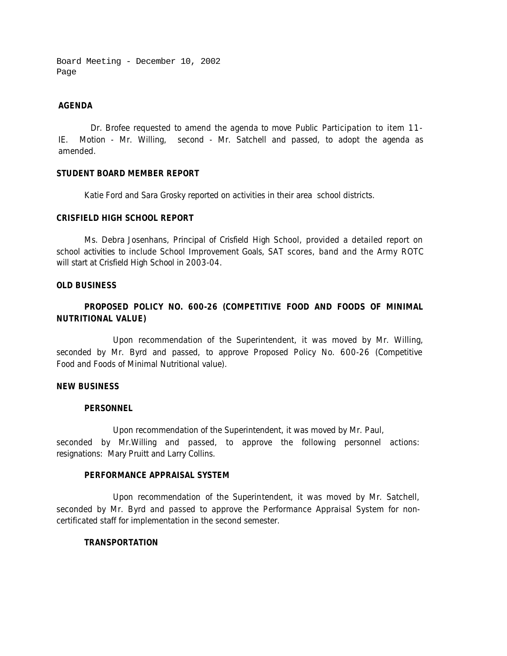Board Meeting - December 10, 2002 Page

### **AGENDA**

Dr. Brofee requested to amend the agenda to move Public Participation to item 11- IE. Motion - Mr. Willing, second - Mr. Satchell and passed, to adopt the agenda as amended.

## **STUDENT BOARD MEMBER REPORT**

Katie Ford and Sara Grosky reported on activities in their area school districts.

## **CRISFIELD HIGH SCHOOL REPORT**

Ms. Debra Josenhans, Principal of Crisfield High School, provided a detailed report on school activities to include School Improvement Goals, SAT scores, band and the Army ROTC will start at Crisfield High School in 2003-04.

## **OLD BUSINESS**

# **PROPOSED POLICY NO. 600-26 (COMPETITIVE FOOD AND FOODS OF MINIMAL NUTRITIONAL VALUE)**

Upon recommendation of the Superintendent, it was moved by Mr. Willing, seconded by Mr. Byrd and passed, to approve Proposed Policy No. 600-26 (Competitive Food and Foods of Minimal Nutritional value).

#### **NEW BUSINESS**

### **PERSONNEL**

Upon recommendation of the Superintendent, it was moved by Mr. Paul, seconded by Mr.Willing and passed, to approve the following personnel actions: resignations: Mary Pruitt and Larry Collins.

## **PERFORMANCE APPRAISAL SYSTEM**

Upon recommendation of the Superintendent, it was moved by Mr. Satchell, seconded by Mr. Byrd and passed to approve the Performance Appraisal System for noncertificated staff for implementation in the second semester.

### **TRANSPORTATION**